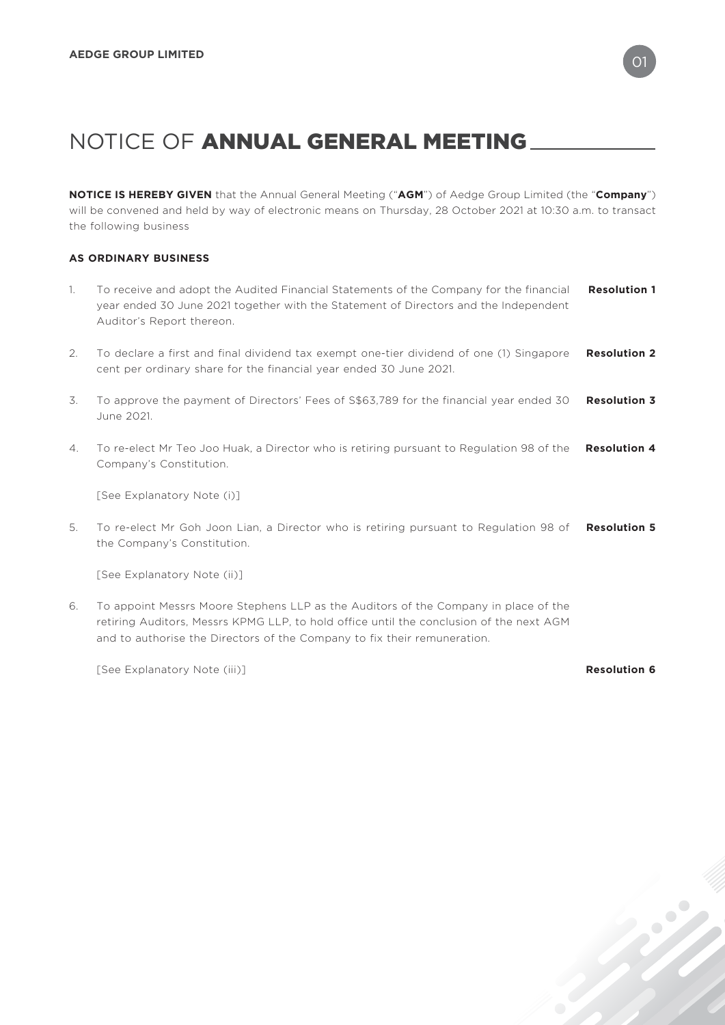**NOTICE IS HEREBY GIVEN** that the Annual General Meeting ("**AGM**") of Aedge Group Limited (the "**Company**") will be convened and held by way of electronic means on Thursday, 28 October 2021 at 10:30 a.m. to transact the following business

## **AS ORDINARY BUSINESS**

- 1. To receive and adopt the Audited Financial Statements of the Company for the financial year ended 30 June 2021 together with the Statement of Directors and the Independent Auditor's Report thereon. **Resolution 1**
- 2. To declare a first and final dividend tax exempt one-tier dividend of one (1) Singapore cent per ordinary share for the financial year ended 30 June 2021. **Resolution 2**
- 3. To approve the payment of Directors' Fees of S\$63,789 for the financial year ended 30 **Resolution 3** June 2021.
- 4. To re-elect Mr Teo Joo Huak, a Director who is retiring pursuant to Regulation 98 of the **Resolution 4** Company's Constitution.

[See Explanatory Note (i)]

5. To re-elect Mr Goh Joon Lian, a Director who is retiring pursuant to Regulation 98 of **Resolution 5** the Company's Constitution.

[See Explanatory Note (ii)]

6. To appoint Messrs Moore Stephens LLP as the Auditors of the Company in place of the retiring Auditors, Messrs KPMG LLP, to hold office until the conclusion of the next AGM and to authorise the Directors of the Company to fix their remuneration.

[See Explanatory Note (iii)] **Resolution 6**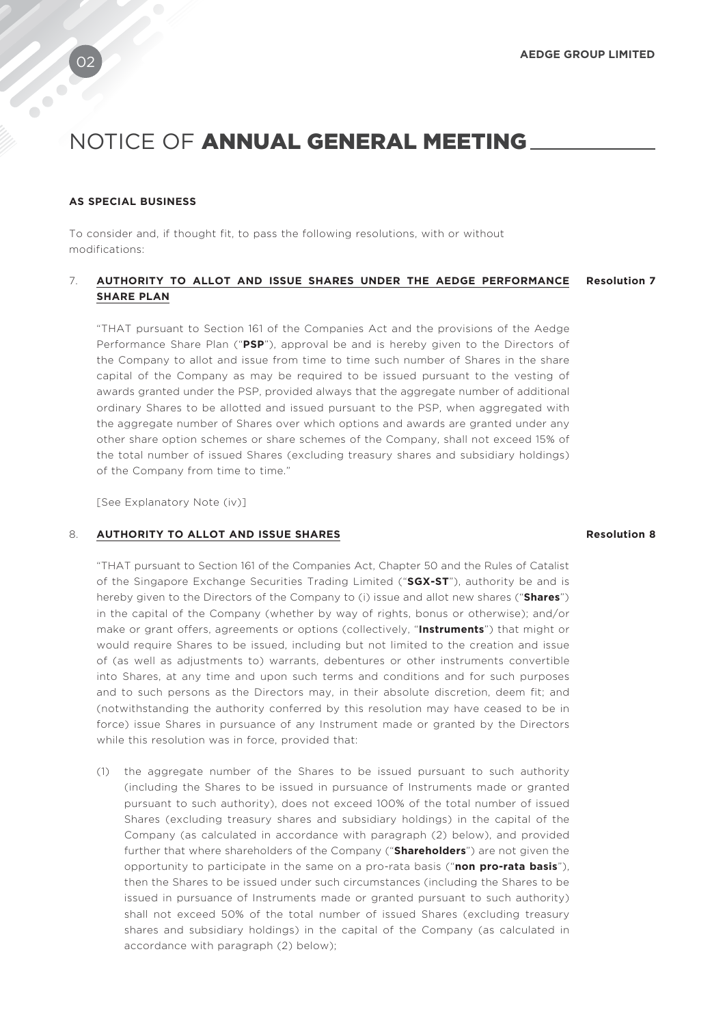### **AS SPECIAL BUSINESS**

To consider and, if thought fit, to pass the following resolutions, with or without modifications:

### 7. **AUTHORITY TO ALLOT AND ISSUE SHARES UNDER THE AEDGE PERFORMANCE Resolution 7 SHARE PLAN**

"THAT pursuant to Section 161 of the Companies Act and the provisions of the Aedge Performance Share Plan ("**PSP**"), approval be and is hereby given to the Directors of the Company to allot and issue from time to time such number of Shares in the share capital of the Company as may be required to be issued pursuant to the vesting of awards granted under the PSP, provided always that the aggregate number of additional ordinary Shares to be allotted and issued pursuant to the PSP, when aggregated with the aggregate number of Shares over which options and awards are granted under any other share option schemes or share schemes of the Company, shall not exceed 15% of the total number of issued Shares (excluding treasury shares and subsidiary holdings) of the Company from time to time."

[See Explanatory Note (iv)]

### 8. **AUTHORITY TO ALLOT AND ISSUE SHARES Resolution 8**

"THAT pursuant to Section 161 of the Companies Act, Chapter 50 and the Rules of Catalist of the Singapore Exchange Securities Trading Limited ("**SGX-ST**"), authority be and is hereby given to the Directors of the Company to (i) issue and allot new shares ("**Shares**") in the capital of the Company (whether by way of rights, bonus or otherwise); and/or make or grant offers, agreements or options (collectively, "**Instruments**") that might or would require Shares to be issued, including but not limited to the creation and issue of (as well as adjustments to) warrants, debentures or other instruments convertible into Shares, at any time and upon such terms and conditions and for such purposes and to such persons as the Directors may, in their absolute discretion, deem fit; and (notwithstanding the authority conferred by this resolution may have ceased to be in force) issue Shares in pursuance of any Instrument made or granted by the Directors while this resolution was in force, provided that:

(1) the aggregate number of the Shares to be issued pursuant to such authority (including the Shares to be issued in pursuance of Instruments made or granted pursuant to such authority), does not exceed 100% of the total number of issued Shares (excluding treasury shares and subsidiary holdings) in the capital of the Company (as calculated in accordance with paragraph (2) below), and provided further that where shareholders of the Company ("**Shareholders**") are not given the opportunity to participate in the same on a pro-rata basis ("**non pro-rata basis**"), then the Shares to be issued under such circumstances (including the Shares to be issued in pursuance of Instruments made or granted pursuant to such authority) shall not exceed 50% of the total number of issued Shares (excluding treasury shares and subsidiary holdings) in the capital of the Company (as calculated in accordance with paragraph (2) below);

 $\bullet$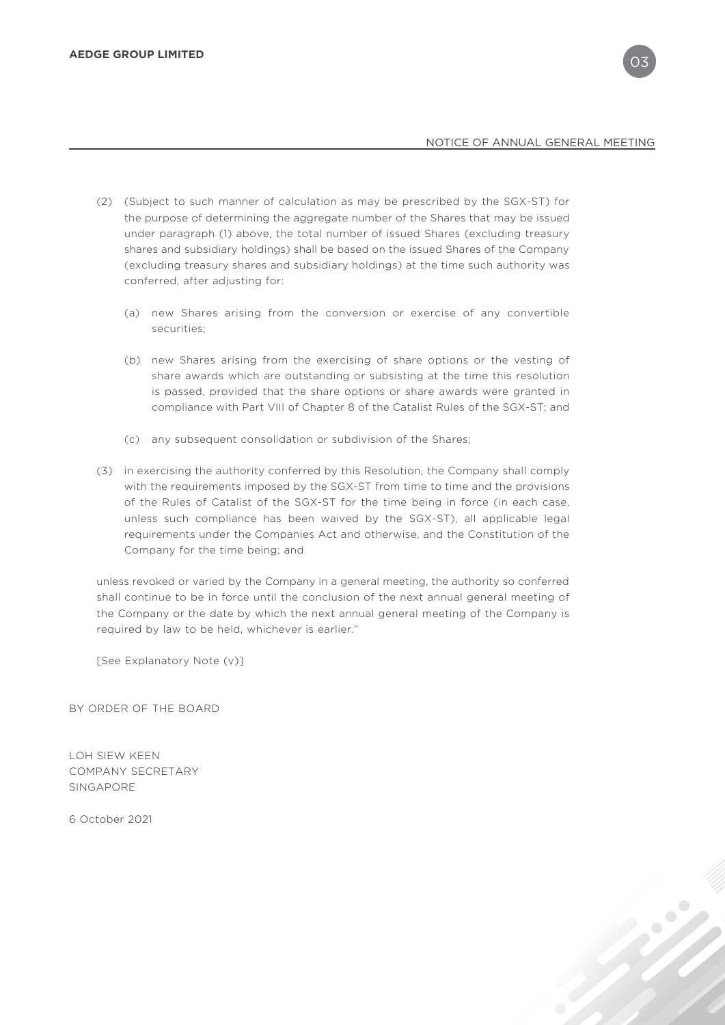- (2) (Subject to such manner of calculation as may be prescribed by the SGX-ST) for the purpose of determining the aggregate number of the Shares that may be issued under paragraph (1) above, the total number of issued Shares (excluding treasury shares and subsidiary holdings) shall be based on the issued Shares of the Company (excluding treasury shares and subsidiary holdings) at the time such authority was conferred, after adjusting for:
	- (a) new Shares arising from the conversion or exercise of any convertible securities;
	- (b) new Shares arising from the exercising of share options or the vesting of share awards which are outstanding or subsisting at the time this resolution is passed, provided that the share options or share awards were granted in compliance with Part VIII of Chapter 8 of the Catalist Rules of the SGX-ST; and
	- (c) any subsequent consolidation or subdivision of the Shares;
- (3) in exercising the authority conferred by this Resolution, the Company shall comply with the requirements imposed by the SGX-ST from time to time and the provisions of the Rules of Catalist of the SGX-ST for the time being in force (in each case, unless such compliance has been waived by the SGX-ST), all applicable legal requirements under the Companies Act and otherwise, and the Constitution of the Company for the time being; and

unless revoked or varied by the Company in a general meeting, the authority so conferred shall continue to be in force until the conclusion of the next annual general meeting of the Company or the date by which the next annual general meeting of the Company is required by law to be held, whichever is earlier."

[See Explanatory Note (v)]

BY ORDER OF THE BOARD

LOH SIEW KEEN COMPANY SECRETARY SINGAPORE

6 October 2021

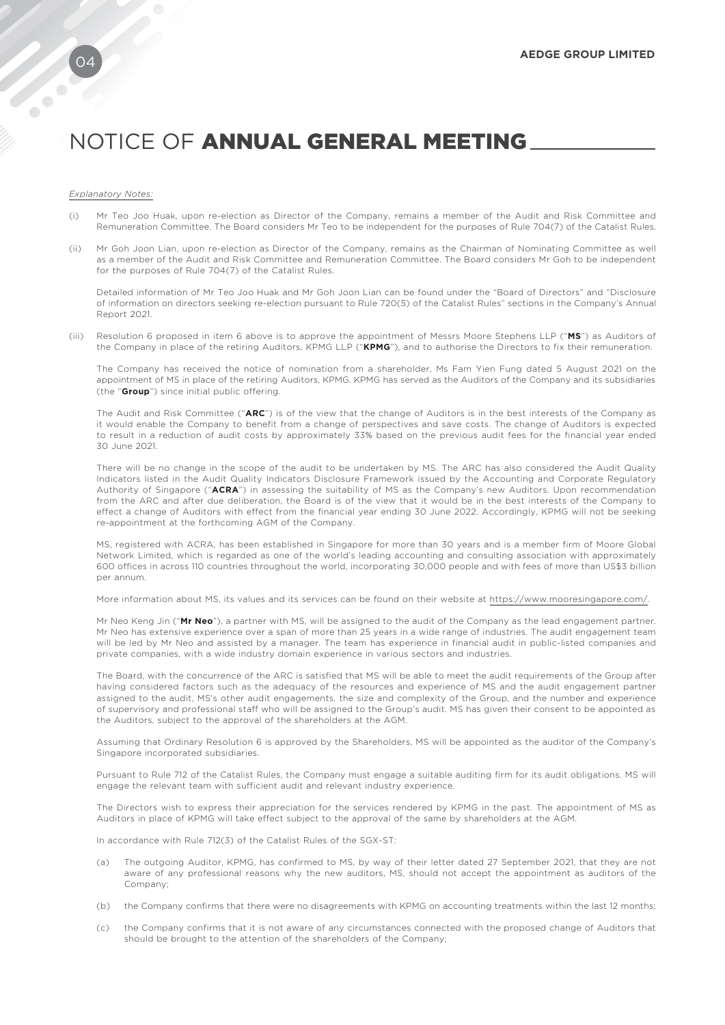#### *Explanatory Notes:*

- (i) Mr Teo Joo Huak, upon re-election as Director of the Company, remains a member of the Audit and Risk Committee and Remuneration Committee. The Board considers Mr Teo to be independent for the purposes of Rule 704(7) of the Catalist Rules.
- (ii) Mr Goh Joon Lian, upon re-election as Director of the Company, remains as the Chairman of Nominating Committee as well as a member of the Audit and Risk Committee and Remuneration Committee. The Board considers Mr Goh to be independent for the purposes of Rule 704(7) of the Catalist Rules.

Detailed information of Mr Teo Joo Huak and Mr Goh Joon Lian can be found under the "Board of Directors" and "Disclosure of information on directors seeking re-election pursuant to Rule 720(5) of the Catalist Rules" sections in the Company's Annual Report 2021.

(iii) Resolution 6 proposed in item 6 above is to approve the appointment of Messrs Moore Stephens LLP ("**MS**") as Auditors of the Company in place of the retiring Auditors, KPMG LLP ("**KPMG**"), and to authorise the Directors to fix their remuneration.

The Company has received the notice of nomination from a shareholder, Ms Fam Yien Fung dated 5 August 2021 on the appointment of MS in place of the retiring Auditors, KPMG. KPMG has served as the Auditors of the Company and its subsidiaries (the "**Group**") since initial public offering.

The Audit and Risk Committee ("**ARC**") is of the view that the change of Auditors is in the best interests of the Company as it would enable the Company to benefit from a change of perspectives and save costs. The change of Auditors is expected to result in a reduction of audit costs by approximately 33% based on the previous audit fees for the financial year ended 30 June 2021.

There will be no change in the scope of the audit to be undertaken by MS. The ARC has also considered the Audit Quality Indicators listed in the Audit Quality Indicators Disclosure Framework issued by the Accounting and Corporate Regulatory Authority of Singapore ("**ACRA**") in assessing the suitability of MS as the Company's new Auditors. Upon recommendation from the ARC and after due deliberation, the Board is of the view that it would be in the best interests of the Company to effect a change of Auditors with effect from the financial year ending 30 June 2022. Accordingly, KPMG will not be seeking re-appointment at the forthcoming AGM of the Company.

MS, registered with ACRA, has been established in Singapore for more than 30 years and is a member firm of Moore Global Network Limited, which is regarded as one of the world's leading accounting and consulting association with approximately 600 offices in across 110 countries throughout the world, incorporating 30,000 people and with fees of more than US\$3 billion per annum.

More information about MS, its values and its services can be found on their website at https://www.mooresingapore.com/.

Mr Neo Keng Jin ("**Mr Neo**"), a partner with MS, will be assigned to the audit of the Company as the lead engagement partner. Mr Neo has extensive experience over a span of more than 25 years in a wide range of industries. The audit engagement team will be led by Mr Neo and assisted by a manager. The team has experience in financial audit in public-listed companies and private companies, with a wide industry domain experience in various sectors and industries.

The Board, with the concurrence of the ARC is satisfied that MS will be able to meet the audit requirements of the Group after having considered factors such as the adequacy of the resources and experience of MS and the audit engagement partner assigned to the audit, MS's other audit engagements, the size and complexity of the Group, and the number and experience of supervisory and professional staff who will be assigned to the Group's audit. MS has given their consent to be appointed as the Auditors, subject to the approval of the shareholders at the AGM.

Assuming that Ordinary Resolution 6 is approved by the Shareholders, MS will be appointed as the auditor of the Company's Singapore incorporated subsidiaries.

Pursuant to Rule 712 of the Catalist Rules, the Company must engage a suitable auditing firm for its audit obligations. MS will engage the relevant team with sufficient audit and relevant industry experience.

The Directors wish to express their appreciation for the services rendered by KPMG in the past. The appointment of MS as Auditors in place of KPMG will take effect subject to the approval of the same by shareholders at the AGM.

In accordance with Rule 712(3) of the Catalist Rules of the SGX-ST:

- (a) The outgoing Auditor, KPMG, has confirmed to MS, by way of their letter dated 27 September 2021, that they are not aware of any professional reasons why the new auditors, MS, should not accept the appointment as auditors of the Company;
- (b) the Company confirms that there were no disagreements with KPMG on accounting treatments within the last 12 months;
- (c) the Company confirms that it is not aware of any circumstances connected with the proposed change of Auditors that should be brought to the attention of the shareholders of the Company;

 $\bullet$  $\overline{\phantom{a}}$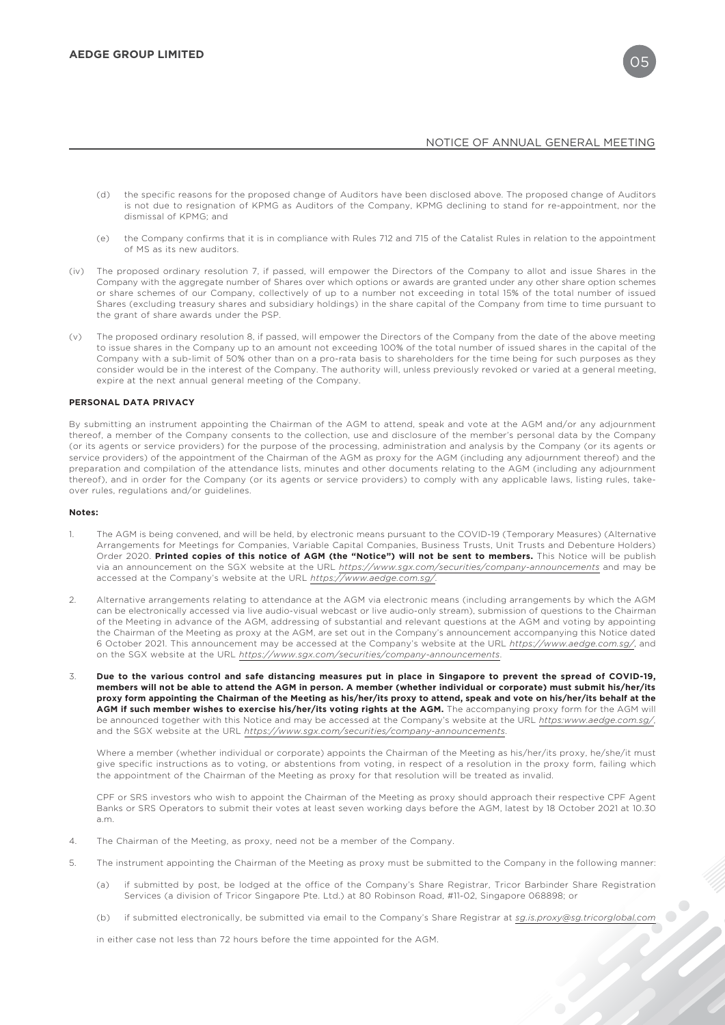- (d) the specific reasons for the proposed change of Auditors have been disclosed above. The proposed change of Auditors is not due to resignation of KPMG as Auditors of the Company, KPMG declining to stand for re-appointment, nor the dismissal of KPMG; and
- (e) the Company confirms that it is in compliance with Rules 712 and 715 of the Catalist Rules in relation to the appointment of MS as its new auditors.
- (iv) The proposed ordinary resolution 7, if passed, will empower the Directors of the Company to allot and issue Shares in the Company with the aggregate number of Shares over which options or awards are granted under any other share option schemes or share schemes of our Company, collectively of up to a number not exceeding in total 15% of the total number of issued Shares (excluding treasury shares and subsidiary holdings) in the share capital of the Company from time to time pursuant to the grant of share awards under the PSP.
- The proposed ordinary resolution 8, if passed, will empower the Directors of the Company from the date of the above meeting to issue shares in the Company up to an amount not exceeding 100% of the total number of issued shares in the capital of the Company with a sub-limit of 50% other than on a pro-rata basis to shareholders for the time being for such purposes as they consider would be in the interest of the Company. The authority will, unless previously revoked or varied at a general meeting, expire at the next annual general meeting of the Company.

#### **PERSONAL DATA PRIVACY**

By submitting an instrument appointing the Chairman of the AGM to attend, speak and vote at the AGM and/or any adjournment thereof, a member of the Company consents to the collection, use and disclosure of the member's personal data by the Company (or its agents or service providers) for the purpose of the processing, administration and analysis by the Company (or its agents or service providers) of the appointment of the Chairman of the AGM as proxy for the AGM (including any adjournment thereof) and the preparation and compilation of the attendance lists, minutes and other documents relating to the AGM (including any adjournment thereof), and in order for the Company (or its agents or service providers) to comply with any applicable laws, listing rules, takeover rules, regulations and/or guidelines.

#### **Notes:**

- 1. The AGM is being convened, and will be held, by electronic means pursuant to the COVID-19 (Temporary Measures) (Alternative Arrangements for Meetings for Companies, Variable Capital Companies, Business Trusts, Unit Trusts and Debenture Holders) Order 2020. **Printed copies of this notice of AGM (the "Notice") will not be sent to members.** This Notice will be publish via an announcement on the SGX website at the URL *https://www.sgx.com/securities/company-announcements* and may be accessed at the Company's website at the URL *https://www.aedge.com.sg/*.
- 2. Alternative arrangements relating to attendance at the AGM via electronic means (including arrangements by which the AGM can be electronically accessed via live audio-visual webcast or live audio-only stream), submission of questions to the Chairman of the Meeting in advance of the AGM, addressing of substantial and relevant questions at the AGM and voting by appointing the Chairman of the Meeting as proxy at the AGM, are set out in the Company's announcement accompanying this Notice dated 6 October 2021. This announcement may be accessed at the Company's website at the URL *https://www.aedge.com.sg/*, and on the SGX website at the URL *https://www.sgx.com/securities/company-announcements*.
- 3. **Due to the various control and safe distancing measures put in place in Singapore to prevent the spread of COVID-19, members will not be able to attend the AGM in person. A member (whether individual or corporate) must submit his/her/its proxy form appointing the Chairman of the Meeting as his/her/its proxy to attend, speak and vote on his/her/its behalf at the**  AGM if such member wishes to exercise his/her/its voting rights at the AGM. The accompanying proxy form for the AGM will be announced together with this Notice and may be accessed at the Company's website at the URL *https:www.aedge.com.sg/*, and the SGX website at the URL *https://www.sgx.com/securities/company-announcements*.

Where a member (whether individual or corporate) appoints the Chairman of the Meeting as his/her/its proxy, he/she/it must give specific instructions as to voting, or abstentions from voting, in respect of a resolution in the proxy form, failing which the appointment of the Chairman of the Meeting as proxy for that resolution will be treated as invalid.

CPF or SRS investors who wish to appoint the Chairman of the Meeting as proxy should approach their respective CPF Agent Banks or SRS Operators to submit their votes at least seven working days before the AGM, latest by 18 October 2021 at 10.30 a.m.

- 4. The Chairman of the Meeting, as proxy, need not be a member of the Company.
- 5. The instrument appointing the Chairman of the Meeting as proxy must be submitted to the Company in the following manner:
	- (a) if submitted by post, be lodged at the office of the Company's Share Registrar, Tricor Barbinder Share Registration Services (a division of Tricor Singapore Pte. Ltd.) at 80 Robinson Road, #11-02, Singapore 068898; or
	- (b) if submitted electronically, be submitted via email to the Company's Share Registrar at *sg.is.proxy@sg.tricorglobal.com*

in either case not less than 72 hours before the time appointed for the AGM.